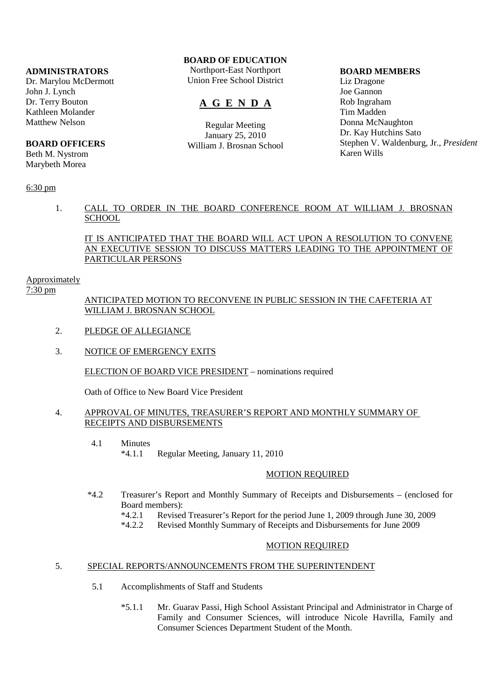### **ADMINISTRATORS**

Dr. Marylou McDermott John J. Lynch Dr. Terry Bouton Kathleen Molander Matthew Nelson

## **BOARD OFFICERS**

Beth M. Nystrom Marybeth Morea

# 6:30 pm

# **BOARD OF EDUCATION**

Northport-East Northport Union Free School District

# **A G E N D A**

Regular Meeting January 25, 2010 William J. Brosnan School

### **BOARD MEMBERS**

Liz Dragone Joe Gannon Rob Ingraham Tim Madden Donna McNaughton Dr. Kay Hutchins Sato Stephen V. Waldenburg, Jr., *President* Karen Wills

# 1. CALL TO ORDER IN THE BOARD CONFERENCE ROOM AT WILLIAM J. BROSNAN **SCHOOL**

# IT IS ANTICIPATED THAT THE BOARD WILL ACT UPON A RESOLUTION TO CONVENE AN EXECUTIVE SESSION TO DISCUSS MATTERS LEADING TO THE APPOINTMENT OF PARTICULAR PERSONS

### Approximately

7:30 pm

# ANTICIPATED MOTION TO RECONVENE IN PUBLIC SESSION IN THE CAFETERIA AT WILLIAM J. BROSNAN SCHOOL

- 2. PLEDGE OF ALLEGIANCE
- 3. NOTICE OF EMERGENCY EXITS

# ELECTION OF BOARD VICE PRESIDENT – nominations required

Oath of Office to New Board Vice President

### 4. APPROVAL OF MINUTES, TREASURER'S REPORT AND MONTHLY SUMMARY OF RECEIPTS AND DISBURSEMENTS

- 4.1 Minutes
	- \*4.1.1 Regular Meeting, January 11, 2010

# MOTION REQUIRED

- \*4.2 Treasurer's Report and Monthly Summary of Receipts and Disbursements (enclosed for Board members):<br>\*4.2.1 Revised
	- \*4.2.1 Revised Treasurer's Report for the period June 1, 2009 through June 30, 2009
	- Revised Monthly Summary of Receipts and Disbursements for June 2009

# MOTION REQUIRED

## 5. SPECIAL REPORTS/ANNOUNCEMENTS FROM THE SUPERINTENDENT

- 5.1 Accomplishments of Staff and Students
	- \*5.1.1 Mr. Guarav Passi, High School Assistant Principal and Administrator in Charge of Family and Consumer Sciences, will introduce Nicole Havrilla, Family and Consumer Sciences Department Student of the Month.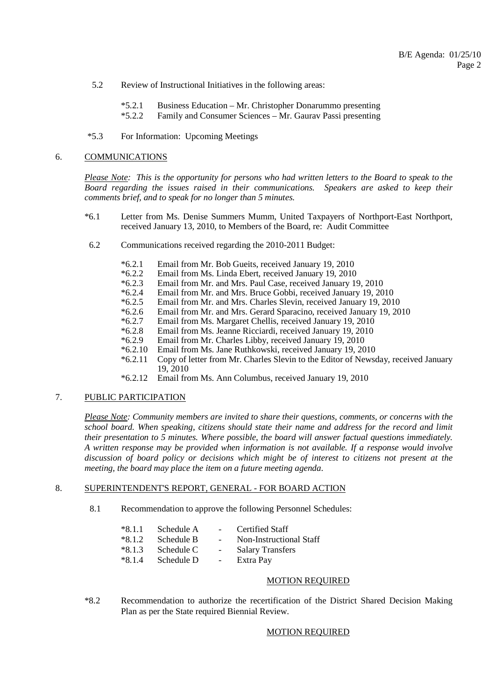- 5.2 Review of Instructional Initiatives in the following areas:
	- \*5.2.1 Business Education Mr. Christopher Donarummo presenting<br>\*5.2.2 Family and Consumer Sciences Mr. Gauray Passi presenting
	- Family and Consumer Sciences Mr. Gaurav Passi presenting
- \*5.3 For Information: Upcoming Meetings

#### 6. COMMUNICATIONS

*Please Note: This is the opportunity for persons who had written letters to the Board to speak to the Board regarding the issues raised in their communications. Speakers are asked to keep their comments brief, and to speak for no longer than 5 minutes.*

- \*6.1 Letter from Ms. Denise Summers Mumm, United Taxpayers of Northport-East Northport, received January 13, 2010, to Members of the Board, re: Audit Committee
- 6.2 Communications received regarding the 2010-2011 Budget:
	-
	- \*6.2.1 Email from Mr. Bob Gueits, received January 19, 2010 \*6.2.2 Email from Ms. Linda Ebert, received January 19, 2010
	- \*6.2.3 Email from Mr. and Mrs. Paul Case, received January 19, 2010
	- \*6.2.4 Email from Mr. and Mrs. Bruce Gobbi, received January 19, 2010
	- \*6.2.5 Email from Mr. and Mrs. Charles Slevin, received January 19, 2010
	- \*6.2.6 Email from Mr. and Mrs. Gerard Sparacino, received January 19, 2010
	-
	- \*6.2.7 Email from Ms. Margaret Chellis, received January 19, 2010
	- \*6.2.8 Email from Ms. Jeanne Ricciardi, received January 19, 2010
	- \*6.2.9 Email from Mr. Charles Libby, received January 19, 2010
	- \*6.2.10 Email from Ms. Jane Ruthkowski, received January 19, 2010 Copy of letter from Mr. Charles Slevin to the Editor of Newsday, received January 19, 2010
	- \*6.2.12 Email from Ms. Ann Columbus, received January 19, 2010

# 7. PUBLIC PARTICIPATION

*Please Note: Community members are invited to share their questions, comments, or concerns with the school board. When speaking, citizens should state their name and address for the record and limit their presentation to 5 minutes. Where possible, the board will answer factual questions immediately. A written response may be provided when information is not available. If a response would involve discussion of board policy or decisions which might be of interest to citizens not present at the meeting, the board may place the item on a future meeting agenda*.

# 8. SUPERINTENDENT'S REPORT, GENERAL - FOR BOARD ACTION

- 8.1 Recommendation to approve the following Personnel Schedules:
	- \*8.1.1 Schedule A Certified Staff
	- \*8.1.2 Schedule B Non-Instructional Staff
	- \*8.1.3 Schedule C Salary Transfers
	- \*8.1.4 Schedule D Extra Pay
		-

#### MOTION REQUIRED

 \*8.2 Recommendation to authorize the recertification of the District Shared Decision Making Plan as per the State required Biennial Review.

# MOTION REQUIRED